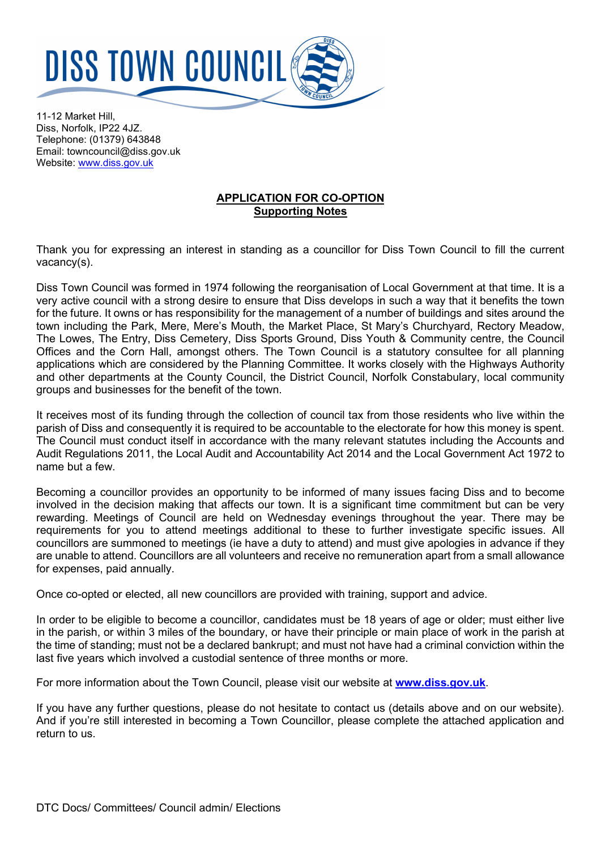

11-12 Market Hill, Diss, Norfolk, IP22 4JZ. Telephone: (01379) 643848 Email: towncouncil@diss.gov.uk Website: [www.diss.gov.uk](http://www.diss.gov.uk/)

## **APPLICATION FOR CO-OPTION Supporting Notes**

Thank you for expressing an interest in standing as a councillor for Diss Town Council to fill the current vacancy(s).

Diss Town Council was formed in 1974 following the reorganisation of Local Government at that time. It is a very active council with a strong desire to ensure that Diss develops in such a way that it benefits the town for the future. It owns or has responsibility for the management of a number of buildings and sites around the town including the Park, Mere, Mere's Mouth, the Market Place, St Mary's Churchyard, Rectory Meadow, The Lowes, The Entry, Diss Cemetery, Diss Sports Ground, Diss Youth & Community centre, the Council Offices and the Corn Hall, amongst others. The Town Council is a statutory consultee for all planning applications which are considered by the Planning Committee. It works closely with the Highways Authority and other departments at the County Council, the District Council, Norfolk Constabulary, local community groups and businesses for the benefit of the town.

It receives most of its funding through the collection of council tax from those residents who live within the parish of Diss and consequently it is required to be accountable to the electorate for how this money is spent. The Council must conduct itself in accordance with the many relevant statutes including the Accounts and Audit Regulations 2011, the Local Audit and Accountability Act 2014 and the Local Government Act 1972 to name but a few.

Becoming a councillor provides an opportunity to be informed of many issues facing Diss and to become involved in the decision making that affects our town. It is a significant time commitment but can be very rewarding. Meetings of Council are held on Wednesday evenings throughout the year. There may be requirements for you to attend meetings additional to these to further investigate specific issues. All councillors are summoned to meetings (ie have a duty to attend) and must give apologies in advance if they are unable to attend. Councillors are all volunteers and receive no remuneration apart from a small allowance for expenses, paid annually.

Once co-opted or elected, all new councillors are provided with training, support and advice.

In order to be eligible to become a councillor, candidates must be 18 years of age or older; must either live in the parish, or within 3 miles of the boundary, or have their principle or main place of work in the parish at the time of standing; must not be a declared bankrupt; and must not have had a criminal conviction within the last five years which involved a custodial sentence of three months or more.

For more information about the Town Council, please visit our website at **[www.diss.gov.uk](http://www.diss.gov.uk/)**.

If you have any further questions, please do not hesitate to contact us (details above and on our website). And if you're still interested in becoming a Town Councillor, please complete the attached application and return to us.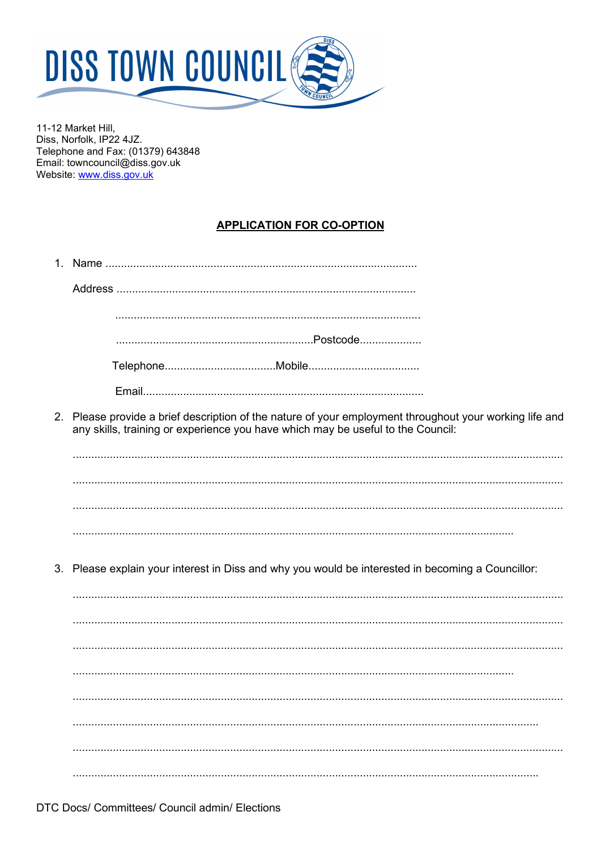

11-12 Market Hill, Diss, Norfolk, IP22 4JZ. Telephone and Fax: (01379) 643848 Email: towncouncil@diss.gov.uk Website: www.diss.gov.uk

# **APPLICATION FOR CO-OPTION**

| 2. Please provide a brief description of the nature of your employment throughout your working life and<br>any skills, training or experience you have which may be useful to the Council: |
|--------------------------------------------------------------------------------------------------------------------------------------------------------------------------------------------|
|                                                                                                                                                                                            |
|                                                                                                                                                                                            |
|                                                                                                                                                                                            |
|                                                                                                                                                                                            |
| 3. Please explain your interest in Diss and why you would be interested in becoming a Councillor:                                                                                          |
|                                                                                                                                                                                            |
|                                                                                                                                                                                            |
|                                                                                                                                                                                            |
|                                                                                                                                                                                            |
|                                                                                                                                                                                            |
|                                                                                                                                                                                            |
|                                                                                                                                                                                            |
|                                                                                                                                                                                            |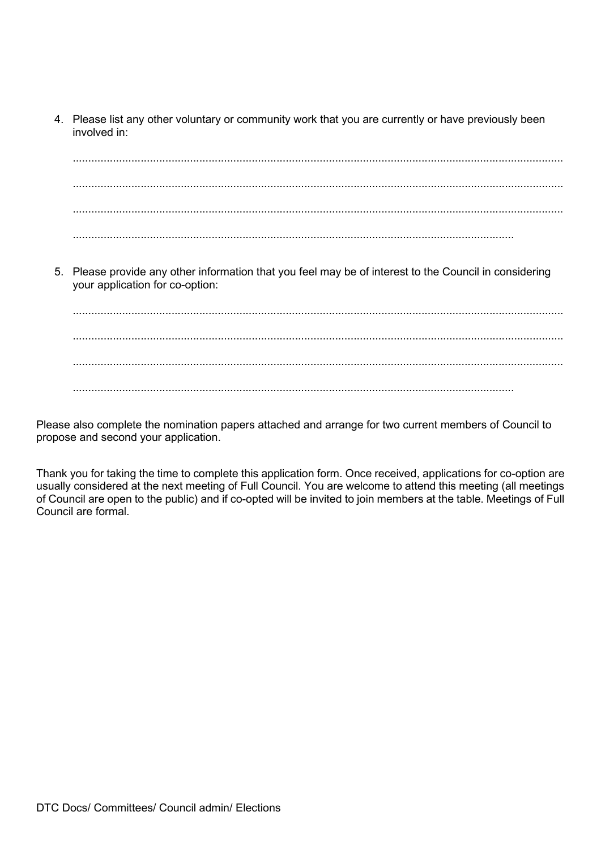4. Please list any other voluntary or community work that you are currently or have previously been involved in:

............................................................................................................................................................... ............................................................................................................................................................... ............................................................................................................................................................... ...............................................................................................................................................

5. Please provide any other information that you feel may be of interest to the Council in considering your application for co-option:

............................................................................................................................................................... ............................................................................................................................................................... ............................................................................................................................................................... ...............................................................................................................................................

Please also complete the nomination papers attached and arrange for two current members of Council to propose and second your application.

Thank you for taking the time to complete this application form. Once received, applications for co-option are usually considered at the next meeting of Full Council. You are welcome to attend this meeting (all meetings of Council are open to the public) and if co-opted will be invited to join members at the table. Meetings of Full Council are formal.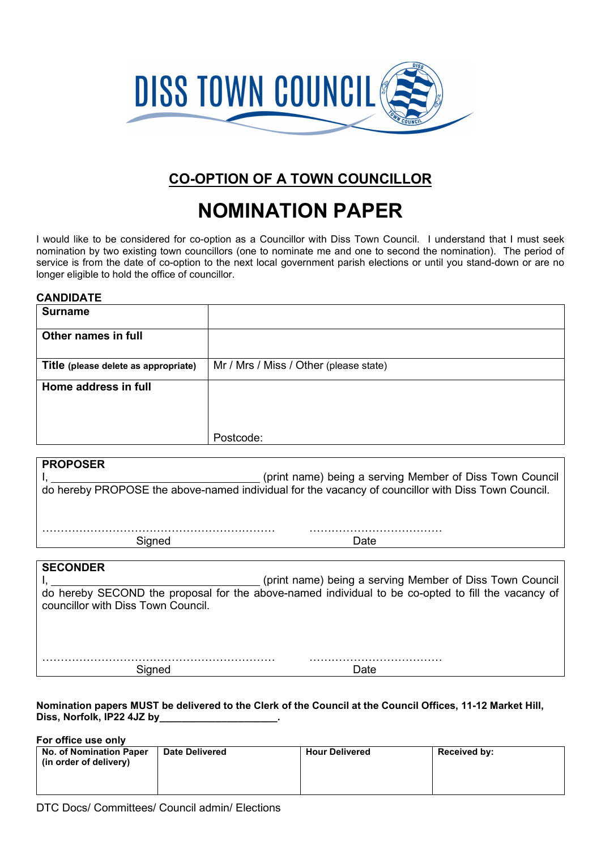

# **CO-OPTION OF A TOWN COUNCILLOR**

# **NOMINATION PAPER**

I would like to be considered for co-option as a Councillor with Diss Town Council. I understand that I must seek nomination by two existing town councillors (one to nominate me and one to second the nomination). The period of service is from the date of co-option to the next local government parish elections or until you stand-down or are no longer eligible to hold the office of councillor.

#### **CANDIDATE**

| <b>Surname</b>                       |                                        |
|--------------------------------------|----------------------------------------|
| Other names in full                  |                                        |
|                                      |                                        |
| Title (please delete as appropriate) | Mr / Mrs / Miss / Other (please state) |
| Home address in full                 |                                        |
|                                      |                                        |
|                                      |                                        |
|                                      | Postcode:                              |

| <b>PROPOSER</b>                                                                                    |                                                          |  |  |  |
|----------------------------------------------------------------------------------------------------|----------------------------------------------------------|--|--|--|
|                                                                                                    | (print name) being a serving Member of Diss Town Council |  |  |  |
| do hereby PROPOSE the above-named individual for the vacancy of councillor with Diss Town Council. |                                                          |  |  |  |
|                                                                                                    |                                                          |  |  |  |
|                                                                                                    |                                                          |  |  |  |
| Signed                                                                                             | Date                                                     |  |  |  |
|                                                                                                    |                                                          |  |  |  |
| <b>SECONDER</b>                                                                                    |                                                          |  |  |  |
|                                                                                                    | (print name) being a serving Member of Diss Town Council |  |  |  |
| do hereby SECOND the proposal for the above-named individual to be co-opted to fill the vacancy of |                                                          |  |  |  |
| councillor with Diss Town Council.                                                                 |                                                          |  |  |  |
|                                                                                                    |                                                          |  |  |  |
|                                                                                                    |                                                          |  |  |  |
|                                                                                                    |                                                          |  |  |  |
|                                                                                                    |                                                          |  |  |  |
| Signed                                                                                             | Date                                                     |  |  |  |

**Nomination papers MUST be delivered to the Clerk of the Council at the Council Offices, 11-12 Market Hill, Diss, Norfolk, IP22 4JZ by\_\_\_\_\_\_\_\_\_\_\_\_\_\_\_\_\_\_\_\_\_.**

**For office use only No. of Nomination Paper (in order of delivery)** Date Delivered **Hour Delivered Received by:**